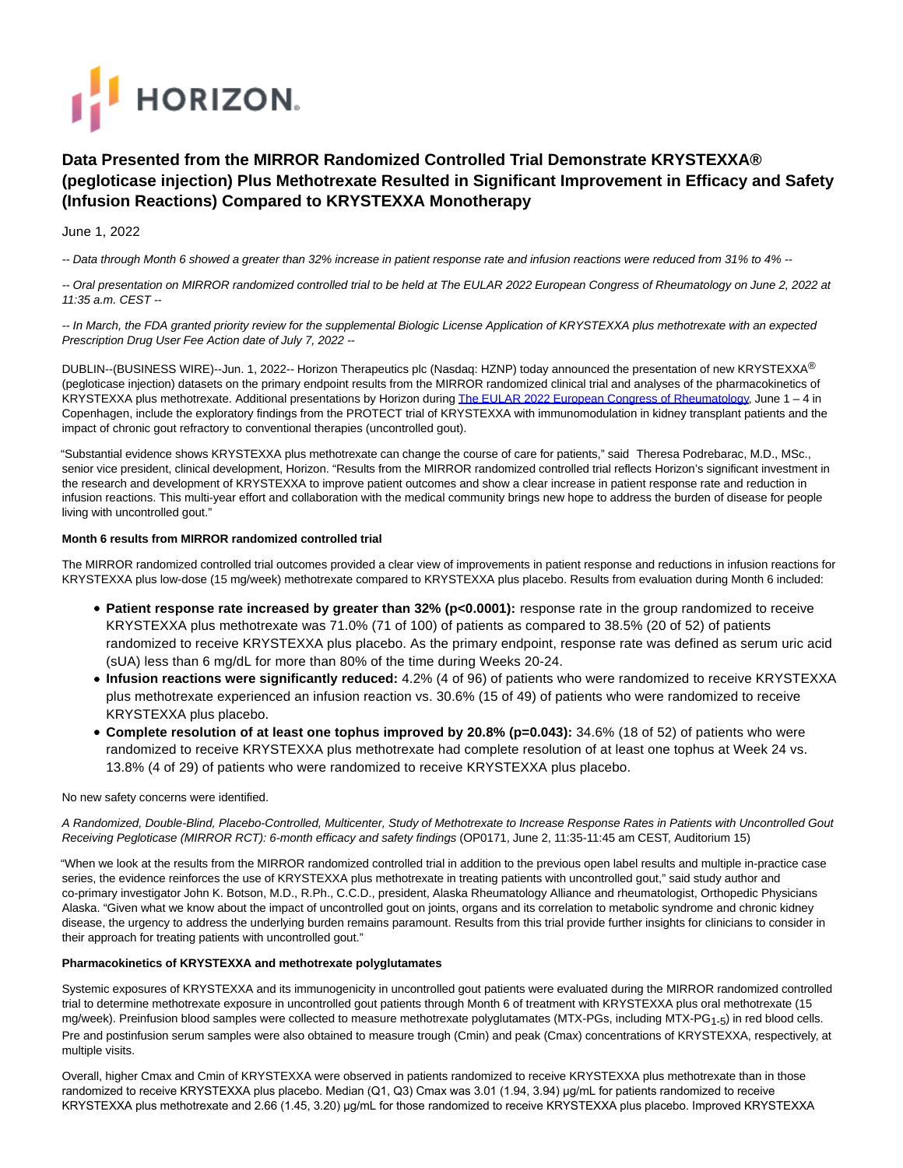# **HORIZON.**

# **Data Presented from the MIRROR Randomized Controlled Trial Demonstrate KRYSTEXXA® (pegloticase injection) Plus Methotrexate Resulted in Significant Improvement in Efficacy and Safety (Infusion Reactions) Compared to KRYSTEXXA Monotherapy**

# June 1, 2022

-- Data through Month 6 showed a greater than 32% increase in patient response rate and infusion reactions were reduced from 31% to 4% --

-- Oral presentation on MIRROR randomized controlled trial to be held at The EULAR 2022 European Congress of Rheumatology on June 2, 2022 at 11:35 a.m. CEST --

-- In March, the FDA granted priority review for the supplemental Biologic License Application of KRYSTEXXA plus methotrexate with an expected Prescription Drug User Fee Action date of July 7, 2022 --

DUBLIN--(BUSINESS WIRE)--Jun. 1, 2022-- Horizon Therapeutics plc (Nasdaq: HZNP) today announced the presentation of new KRYSTEXXA<sup>®</sup> (pegloticase injection) datasets on the primary endpoint results from the MIRROR randomized clinical trial and analyses of the pharmacokinetics of KRYSTEXXA plus methotrexate. Additional presentations by Horizon during [The EULAR 2022 European Congress of Rheumatology,](https://cts.businesswire.com/ct/CT?id=smartlink&url=https%3A%2F%2Fcongress.eular.org%2Fwelcome_message.cfm&esheet=52735872&newsitemid=20220601005408&lan=en-US&anchor=The+EULAR+2022+European+Congress+of+Rheumatology&index=1&md5=b1be46adeec6dbd9d51d9bd5435b8100) June 1 - 4 in Copenhagen, include the exploratory findings from the PROTECT trial of KRYSTEXXA with immunomodulation in kidney transplant patients and the impact of chronic gout refractory to conventional therapies (uncontrolled gout).

"Substantial evidence shows KRYSTEXXA plus methotrexate can change the course of care for patients," said Theresa Podrebarac, M.D., MSc., senior vice president, clinical development, Horizon. "Results from the MIRROR randomized controlled trial reflects Horizon's significant investment in the research and development of KRYSTEXXA to improve patient outcomes and show a clear increase in patient response rate and reduction in infusion reactions. This multi-year effort and collaboration with the medical community brings new hope to address the burden of disease for people living with uncontrolled gout."

# **Month 6 results from MIRROR randomized controlled trial**

The MIRROR randomized controlled trial outcomes provided a clear view of improvements in patient response and reductions in infusion reactions for KRYSTEXXA plus low-dose (15 mg/week) methotrexate compared to KRYSTEXXA plus placebo. Results from evaluation during Month 6 included:

- **Patient response rate increased by greater than 32% (p<0.0001):** response rate in the group randomized to receive KRYSTEXXA plus methotrexate was 71.0% (71 of 100) of patients as compared to 38.5% (20 of 52) of patients randomized to receive KRYSTEXXA plus placebo. As the primary endpoint, response rate was defined as serum uric acid (sUA) less than 6 mg/dL for more than 80% of the time during Weeks 20-24.
- **Infusion reactions were significantly reduced:** 4.2% (4 of 96) of patients who were randomized to receive KRYSTEXXA plus methotrexate experienced an infusion reaction vs. 30.6% (15 of 49) of patients who were randomized to receive KRYSTEXXA plus placebo.
- **Complete resolution of at least one tophus improved by 20.8% (p=0.043):** 34.6% (18 of 52) of patients who were randomized to receive KRYSTEXXA plus methotrexate had complete resolution of at least one tophus at Week 24 vs. 13.8% (4 of 29) of patients who were randomized to receive KRYSTEXXA plus placebo.

# No new safety concerns were identified.

A Randomized, Double-Blind, Placebo-Controlled, Multicenter, Study of Methotrexate to Increase Response Rates in Patients with Uncontrolled Gout Receiving Pegloticase (MIRROR RCT): 6-month efficacy and safety findings (OP0171, June 2, 11:35-11:45 am CEST, Auditorium 15)

"When we look at the results from the MIRROR randomized controlled trial in addition to the previous open label results and multiple in-practice case series, the evidence reinforces the use of KRYSTEXXA plus methotrexate in treating patients with uncontrolled gout," said study author and co-primary investigator John K. Botson, M.D., R.Ph., C.C.D., president, Alaska Rheumatology Alliance and rheumatologist, Orthopedic Physicians Alaska. "Given what we know about the impact of uncontrolled gout on joints, organs and its correlation to metabolic syndrome and chronic kidney disease, the urgency to address the underlying burden remains paramount. Results from this trial provide further insights for clinicians to consider in their approach for treating patients with uncontrolled gout."

# **Pharmacokinetics of KRYSTEXXA and methotrexate polyglutamates**

Systemic exposures of KRYSTEXXA and its immunogenicity in uncontrolled gout patients were evaluated during the MIRROR randomized controlled trial to determine methotrexate exposure in uncontrolled gout patients through Month 6 of treatment with KRYSTEXXA plus oral methotrexate (15 mg/week). Preinfusion blood samples were collected to measure methotrexate polyglutamates (MTX-PGs, including MTX-PG<sub>1-5</sub>) in red blood cells. Pre and postinfusion serum samples were also obtained to measure trough (Cmin) and peak (Cmax) concentrations of KRYSTEXXA, respectively, at multiple visits.

Overall, higher Cmax and Cmin of KRYSTEXXA were observed in patients randomized to receive KRYSTEXXA plus methotrexate than in those randomized to receive KRYSTEXXA plus placebo. Median (Q1, Q3) Cmax was 3.01 (1.94, 3.94) μg/mL for patients randomized to receive KRYSTEXXA plus methotrexate and 2.66 (1.45, 3.20) μg/mL for those randomized to receive KRYSTEXXA plus placebo. Improved KRYSTEXXA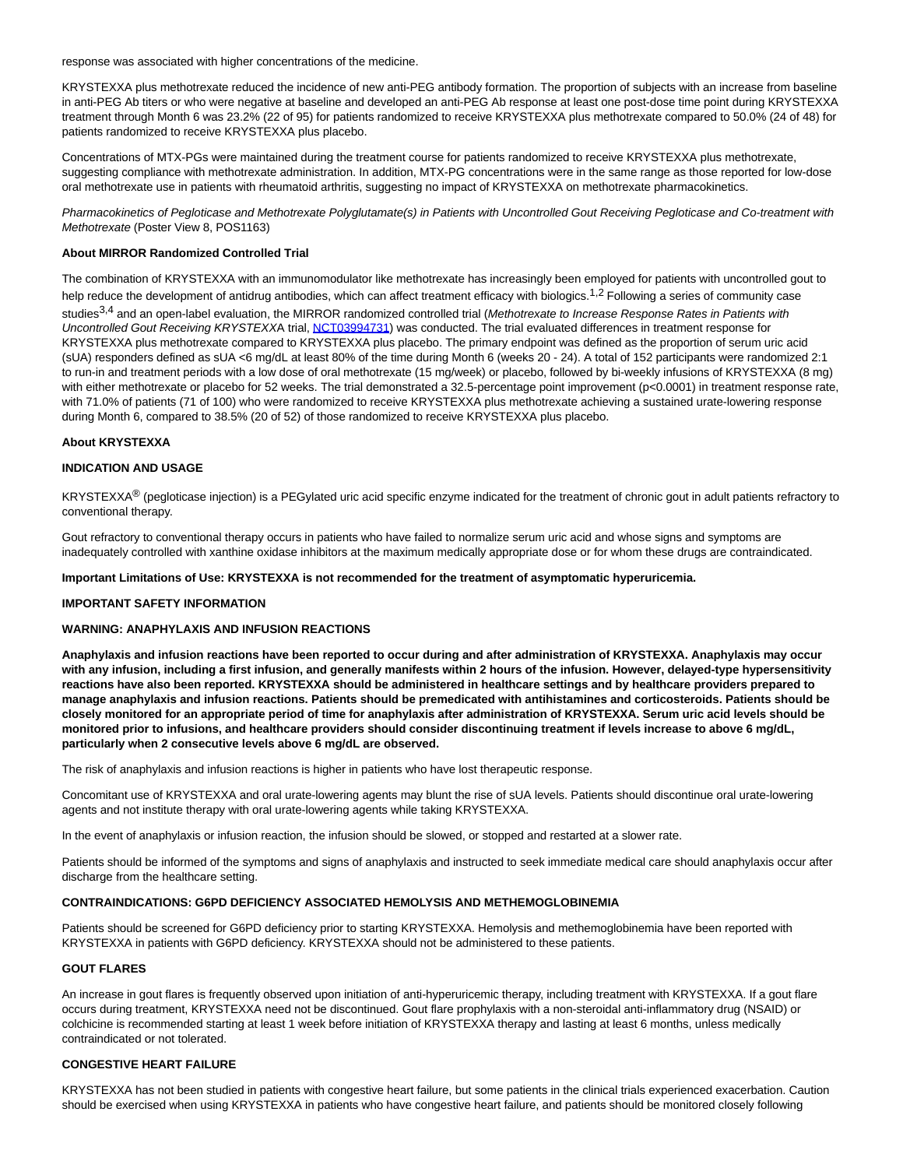response was associated with higher concentrations of the medicine.

KRYSTEXXA plus methotrexate reduced the incidence of new anti-PEG antibody formation. The proportion of subjects with an increase from baseline in anti-PEG Ab titers or who were negative at baseline and developed an anti-PEG Ab response at least one post-dose time point during KRYSTEXXA treatment through Month 6 was 23.2% (22 of 95) for patients randomized to receive KRYSTEXXA plus methotrexate compared to 50.0% (24 of 48) for patients randomized to receive KRYSTEXXA plus placebo.

Concentrations of MTX-PGs were maintained during the treatment course for patients randomized to receive KRYSTEXXA plus methotrexate, suggesting compliance with methotrexate administration. In addition, MTX-PG concentrations were in the same range as those reported for low-dose oral methotrexate use in patients with rheumatoid arthritis, suggesting no impact of KRYSTEXXA on methotrexate pharmacokinetics.

Pharmacokinetics of Pegloticase and Methotrexate Polyglutamate(s) in Patients with Uncontrolled Gout Receiving Pegloticase and Co-treatment with Methotrexate (Poster View 8, POS1163)

#### **About MIRROR Randomized Controlled Trial**

The combination of KRYSTEXXA with an immunomodulator like methotrexate has increasingly been employed for patients with uncontrolled gout to help reduce the development of antidrug antibodies, which can affect treatment efficacy with biologics.<sup>1,2</sup> Following a series of community case studies<sup>3,4</sup> and an open-label evaluation, the MIRROR randomized controlled trial (Methotrexate to Increase Response Rates in Patients with Uncontrolled Gout Receiving KRYSTEXXA trial[, NCT03994731\)](https://cts.businesswire.com/ct/CT?id=smartlink&url=https%3A%2F%2Fclinicaltrials.gov%2Fct2%2Fshow%2FNCT03994731%3Fterm%3DMIRROR%2BGout%26draw%3D2%26rank%3D2&esheet=52735872&newsitemid=20220601005408&lan=en-US&anchor=NCT03994731&index=2&md5=640b7760026b08ebce595d71e03aeb51) was conducted. The trial evaluated differences in treatment response for KRYSTEXXA plus methotrexate compared to KRYSTEXXA plus placebo. The primary endpoint was defined as the proportion of serum uric acid (sUA) responders defined as sUA <6 mg/dL at least 80% of the time during Month 6 (weeks 20 - 24). A total of 152 participants were randomized 2:1 to run-in and treatment periods with a low dose of oral methotrexate (15 mg/week) or placebo, followed by bi-weekly infusions of KRYSTEXXA (8 mg) with either methotrexate or placebo for 52 weeks. The trial demonstrated a 32.5-percentage point improvement (p<0.0001) in treatment response rate, with 71.0% of patients (71 of 100) who were randomized to receive KRYSTEXXA plus methotrexate achieving a sustained urate-lowering response during Month 6, compared to 38.5% (20 of 52) of those randomized to receive KRYSTEXXA plus placebo.

#### **About KRYSTEXXA**

#### **INDICATION AND USAGE**

KRYSTEXXA<sup>®</sup> (pegloticase injection) is a PEGylated uric acid specific enzyme indicated for the treatment of chronic gout in adult patients refractory to conventional therapy.

Gout refractory to conventional therapy occurs in patients who have failed to normalize serum uric acid and whose signs and symptoms are inadequately controlled with xanthine oxidase inhibitors at the maximum medically appropriate dose or for whom these drugs are contraindicated.

**Important Limitations of Use: KRYSTEXXA is not recommended for the treatment of asymptomatic hyperuricemia.**

#### **IMPORTANT SAFETY INFORMATION**

#### **WARNING: ANAPHYLAXIS AND INFUSION REACTIONS**

**Anaphylaxis and infusion reactions have been reported to occur during and after administration of KRYSTEXXA. Anaphylaxis may occur with any infusion, including a first infusion, and generally manifests within 2 hours of the infusion. However, delayed-type hypersensitivity reactions have also been reported. KRYSTEXXA should be administered in healthcare settings and by healthcare providers prepared to manage anaphylaxis and infusion reactions. Patients should be premedicated with antihistamines and corticosteroids. Patients should be closely monitored for an appropriate period of time for anaphylaxis after administration of KRYSTEXXA. Serum uric acid levels should be monitored prior to infusions, and healthcare providers should consider discontinuing treatment if levels increase to above 6 mg/dL, particularly when 2 consecutive levels above 6 mg/dL are observed.**

The risk of anaphylaxis and infusion reactions is higher in patients who have lost therapeutic response.

Concomitant use of KRYSTEXXA and oral urate-lowering agents may blunt the rise of sUA levels. Patients should discontinue oral urate-lowering agents and not institute therapy with oral urate-lowering agents while taking KRYSTEXXA.

In the event of anaphylaxis or infusion reaction, the infusion should be slowed, or stopped and restarted at a slower rate.

Patients should be informed of the symptoms and signs of anaphylaxis and instructed to seek immediate medical care should anaphylaxis occur after discharge from the healthcare setting.

#### **CONTRAINDICATIONS: G6PD DEFICIENCY ASSOCIATED HEMOLYSIS AND METHEMOGLOBINEMIA**

Patients should be screened for G6PD deficiency prior to starting KRYSTEXXA. Hemolysis and methemoglobinemia have been reported with KRYSTEXXA in patients with G6PD deficiency. KRYSTEXXA should not be administered to these patients.

#### **GOUT FLARES**

An increase in gout flares is frequently observed upon initiation of anti-hyperuricemic therapy, including treatment with KRYSTEXXA. If a gout flare occurs during treatment, KRYSTEXXA need not be discontinued. Gout flare prophylaxis with a non-steroidal anti-inflammatory drug (NSAID) or colchicine is recommended starting at least 1 week before initiation of KRYSTEXXA therapy and lasting at least 6 months, unless medically contraindicated or not tolerated.

# **CONGESTIVE HEART FAILURE**

KRYSTEXXA has not been studied in patients with congestive heart failure, but some patients in the clinical trials experienced exacerbation. Caution should be exercised when using KRYSTEXXA in patients who have congestive heart failure, and patients should be monitored closely following